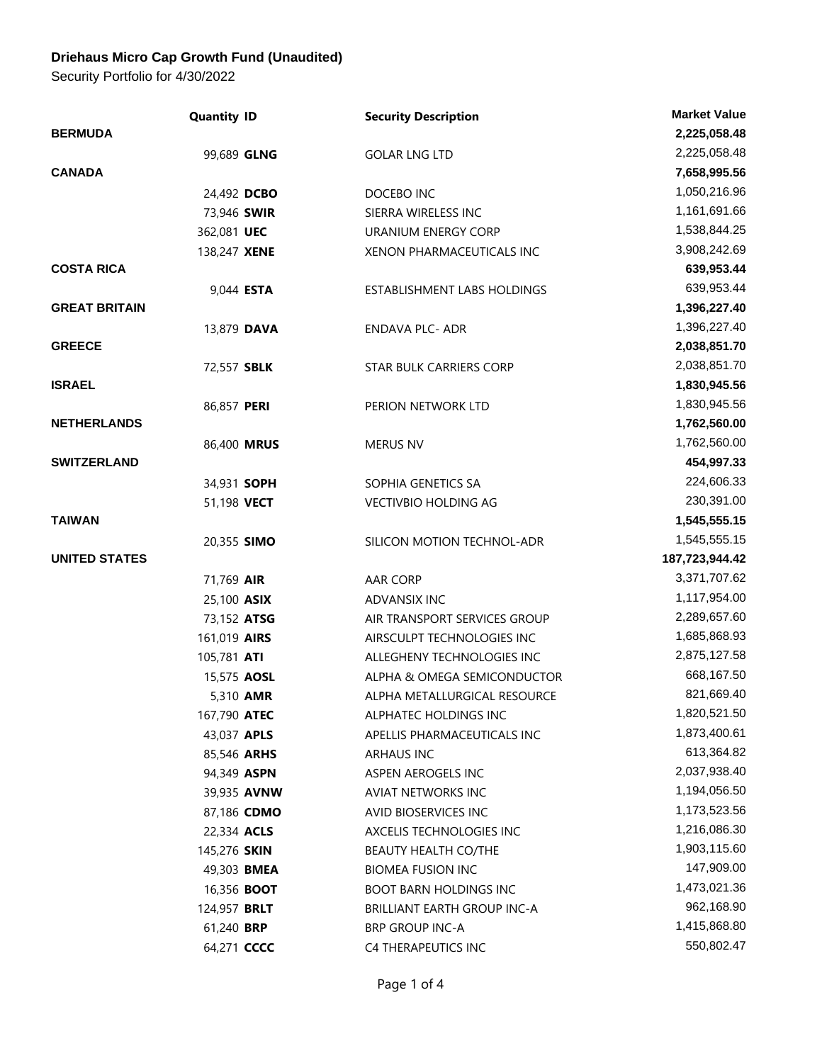## **Driehaus Micro Cap Growth Fund (Unaudited)**

Security Portfolio for 4/30/2022

|                      | <b>Quantity ID</b> | <b>Security Description</b>        | <b>Market Value</b> |
|----------------------|--------------------|------------------------------------|---------------------|
| <b>BERMUDA</b>       |                    |                                    | 2,225,058.48        |
|                      | 99,689 GLNG        | <b>GOLAR LNG LTD</b>               | 2,225,058.48        |
| <b>CANADA</b>        |                    |                                    | 7,658,995.56        |
|                      | 24,492 DCBO        | DOCEBO INC                         | 1,050,216.96        |
|                      | 73,946 SWIR        | SIERRA WIRELESS INC                | 1,161,691.66        |
|                      | 362,081 UEC        | URANIUM ENERGY CORP                | 1,538,844.25        |
|                      | 138,247 XENE       | XENON PHARMACEUTICALS INC          | 3,908,242.69        |
| <b>COSTA RICA</b>    |                    |                                    | 639,953.44          |
|                      | 9,044 ESTA         | ESTABLISHMENT LABS HOLDINGS        | 639,953.44          |
| <b>GREAT BRITAIN</b> |                    |                                    | 1,396,227.40        |
|                      | 13,879 DAVA        | <b>ENDAVA PLC- ADR</b>             | 1,396,227.40        |
| <b>GREECE</b>        |                    |                                    | 2,038,851.70        |
|                      | 72,557 SBLK        | STAR BULK CARRIERS CORP            | 2,038,851.70        |
| <b>ISRAEL</b>        |                    |                                    | 1,830,945.56        |
|                      | 86,857 PERI        | PERION NETWORK LTD                 | 1,830,945.56        |
| <b>NETHERLANDS</b>   |                    |                                    | 1,762,560.00        |
|                      | 86,400 MRUS        | <b>MERUS NV</b>                    | 1,762,560.00        |
| <b>SWITZERLAND</b>   |                    |                                    | 454,997.33          |
|                      | 34,931 SOPH        | SOPHIA GENETICS SA                 | 224,606.33          |
|                      | 51,198 VECT        | <b>VECTIVBIO HOLDING AG</b>        | 230,391.00          |
| <b>TAIWAN</b>        |                    |                                    | 1,545,555.15        |
|                      | 20,355 SIMO        | SILICON MOTION TECHNOL-ADR         | 1,545,555.15        |
| <b>UNITED STATES</b> |                    |                                    | 187,723,944.42      |
|                      | 71,769 AIR         | AAR CORP                           | 3,371,707.62        |
|                      | 25,100 ASIX        | ADVANSIX INC                       | 1,117,954.00        |
|                      | 73,152 ATSG        | AIR TRANSPORT SERVICES GROUP       | 2,289,657.60        |
|                      | 161,019 AIRS       | AIRSCULPT TECHNOLOGIES INC         | 1,685,868.93        |
|                      | 105,781 ATI        | ALLEGHENY TECHNOLOGIES INC         | 2,875,127.58        |
|                      | 15,575 AOSL        | ALPHA & OMEGA SEMICONDUCTOR        | 668,167.50          |
|                      | 5,310 AMR          | ALPHA METALLURGICAL RESOURCE       | 821,669.40          |
|                      | 167,790 ATEC       | ALPHATEC HOLDINGS INC              | 1,820,521.50        |
|                      | 43,037 APLS        | APELLIS PHARMACEUTICALS INC        | 1,873,400.61        |
|                      | 85,546 ARHS        | <b>ARHAUS INC</b>                  | 613,364.82          |
|                      | 94,349 ASPN        | ASPEN AEROGELS INC                 | 2,037,938.40        |
|                      | 39,935 AVNW        | AVIAT NETWORKS INC                 | 1,194,056.50        |
|                      | 87,186 CDMO        | AVID BIOSERVICES INC               | 1,173,523.56        |
|                      | 22,334 ACLS        | AXCELIS TECHNOLOGIES INC           | 1,216,086.30        |
|                      | 145,276 SKIN       | BEAUTY HEALTH CO/THE               | 1,903,115.60        |
|                      | 49,303 BMEA        | <b>BIOMEA FUSION INC</b>           | 147,909.00          |
|                      | 16,356 <b>BOOT</b> | <b>BOOT BARN HOLDINGS INC</b>      | 1,473,021.36        |
|                      | 124,957 BRLT       | <b>BRILLIANT EARTH GROUP INC-A</b> | 962,168.90          |
|                      | 61,240 BRP         | <b>BRP GROUP INC-A</b>             | 1,415,868.80        |
|                      | 64,271 CCCC        | C4 THERAPEUTICS INC                | 550,802.47          |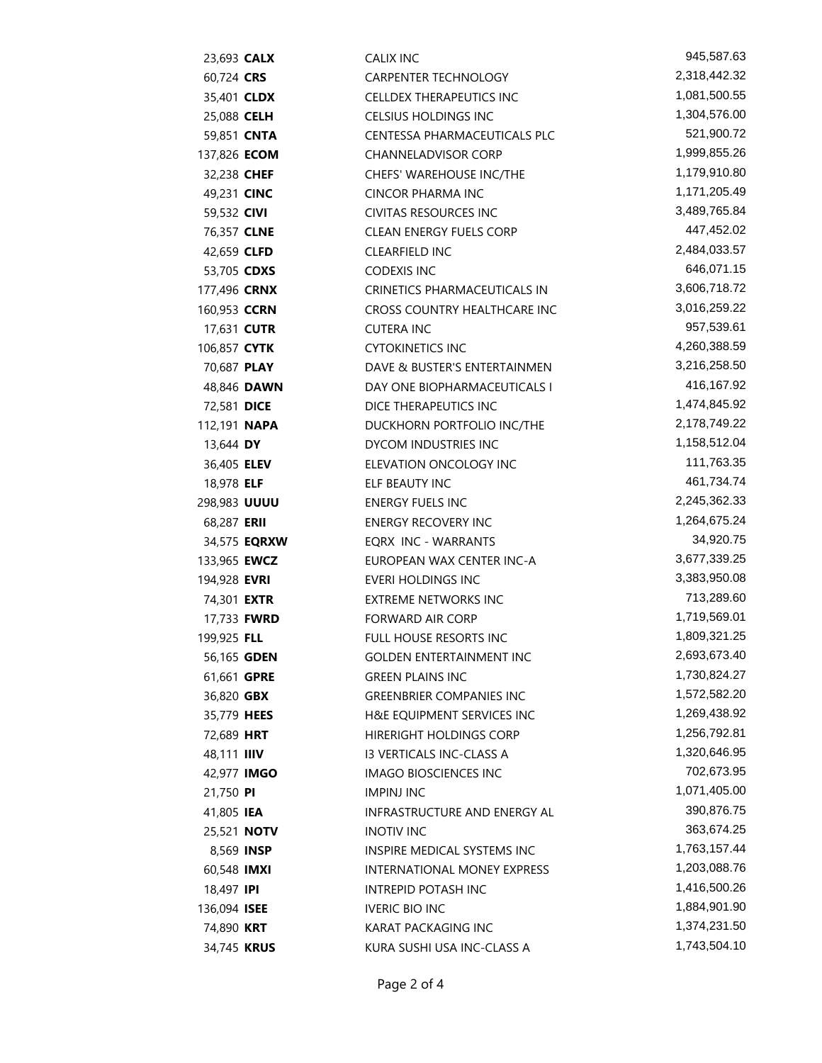| 23,693 CALX         |                     | <b>CALIX INC</b>                | 945,587.63                 |
|---------------------|---------------------|---------------------------------|----------------------------|
| 60,724 CRS          |                     | <b>CARPENTER TECHNOLOGY</b>     | 2,318,442.32               |
| 35,401 <b>CLDX</b>  |                     | <b>CELLDEX THERAPEUTICS INC</b> | 1,081,500.55               |
| 25,088 CELH         |                     | CELSIUS HOLDINGS INC            | 1,304,576.00               |
| 59,851 CNTA         |                     | CENTESSA PHARMACEUTICALS PLC    | 521,900.72                 |
| 137,826 <b>ECOM</b> |                     | <b>CHANNELADVISOR CORP</b>      | 1,999,855.26               |
| 32,238 CHEF         |                     | CHEFS' WAREHOUSE INC/THE        | 1,179,910.80               |
| 49,231 CINC         |                     | <b>CINCOR PHARMA INC</b>        | 1,171,205.49               |
| 59,532 CIVI         |                     | <b>CIVITAS RESOURCES INC</b>    | 3,489,765.84               |
| 76,357 CLNE         |                     | <b>CLEAN ENERGY FUELS CORP</b>  | 447,452.02                 |
| 42,659 CLFD         |                     | <b>CLEARFIELD INC</b>           | 2,484,033.57               |
| 53,705 CDXS         |                     | <b>CODEXIS INC</b>              | 646,071.15                 |
| 177,496 CRNX        |                     | CRINETICS PHARMACEUTICALS IN    | 3,606,718.72               |
| 160,953 CCRN        |                     | CROSS COUNTRY HEALTHCARE INC    | 3,016,259.22               |
| 17,631 CUTR         |                     | <b>CUTERA INC</b>               | 957,539.61                 |
| 106,857 <b>CYTK</b> |                     | <b>CYTOKINETICS INC</b>         | 4,260,388.59               |
| 70,687 PLAY         |                     | DAVE & BUSTER'S ENTERTAINMEN    | 3,216,258.50               |
|                     | 48,846 DAWN         | DAY ONE BIOPHARMACEUTICALS I    | 416,167.92                 |
| 72,581 DICE         |                     | DICE THERAPEUTICS INC           | 1,474,845.92               |
| 112,191 <b>NAPA</b> |                     | DUCKHORN PORTFOLIO INC/THE      | 2,178,749.22               |
| 13,644 DY           |                     | DYCOM INDUSTRIES INC            | 1,158,512.04               |
| 36,405 <b>ELEV</b>  |                     | ELEVATION ONCOLOGY INC          | 111,763.35                 |
| 18,978 ELF          |                     | ELF BEAUTY INC                  | 461,734.74                 |
| 298,983 UUUU        |                     | <b>ENERGY FUELS INC</b>         | 2,245,362.33               |
| 68,287 ERII         |                     | <b>ENERGY RECOVERY INC</b>      | 1,264,675.24               |
|                     | 34,575 <b>EQRXW</b> | EQRX INC - WARRANTS             | 34,920.75                  |
| 133,965 <b>EWCZ</b> |                     | EUROPEAN WAX CENTER INC-A       | 3,677,339.25               |
| 194,928 EVRI        |                     | <b>EVERI HOLDINGS INC</b>       | 3,383,950.08               |
| 74,301 <b>EXTR</b>  |                     | <b>EXTREME NETWORKS INC</b>     | 713,289.60                 |
| 17,733 FWRD         |                     | <b>FORWARD AIR CORP</b>         | 1,719,569.01               |
| 199,925 FLL         |                     | <b>FULL HOUSE RESORTS INC</b>   | 1,809,321.25               |
| 56,165 GDEN         |                     | <b>GOLDEN ENTERTAINMENT INC</b> | 2,693,673.40               |
| 61,661 GPRE         |                     | <b>GREEN PLAINS INC</b>         | 1,730,824.27               |
| 36,820 GBX          |                     | <b>GREENBRIER COMPANIES INC</b> | 1,572,582.20               |
| 35,779 HEES         |                     | H&E EQUIPMENT SERVICES INC      | 1,269,438.92               |
| 72,689 HRT          |                     | HIRERIGHT HOLDINGS CORP         | 1,256,792.81               |
| 48,111 IIIV         |                     | <b>13 VERTICALS INC-CLASS A</b> | 1,320,646.95               |
| 42,977 <b>IMGO</b>  |                     | IMAGO BIOSCIENCES INC           | 702,673.95                 |
| 21,750 PI           |                     | <b>IMPINJ INC</b>               | 1,071,405.00               |
| 41,805 IEA          |                     | INFRASTRUCTURE AND ENERGY AL    | 390,876.75                 |
| 25,521 <b>NOTV</b>  |                     | <b>INOTIV INC</b>               | 363,674.25<br>1,763,157.44 |
| 8,569 INSP          |                     | INSPIRE MEDICAL SYSTEMS INC     | 1,203,088.76               |
| 60,548 IMXI         |                     | INTERNATIONAL MONEY EXPRESS     | 1,416,500.26               |
| 18,497 <b>IPI</b>   |                     | INTREPID POTASH INC             | 1,884,901.90               |
| 136,094 ISEE        |                     | <b>IVERIC BIO INC</b>           | 1,374,231.50               |
| 74,890 KRT          |                     | KARAT PACKAGING INC             | 1,743,504.10               |
| 34,745 KRUS         |                     | KURA SUSHI USA INC-CLASS A      |                            |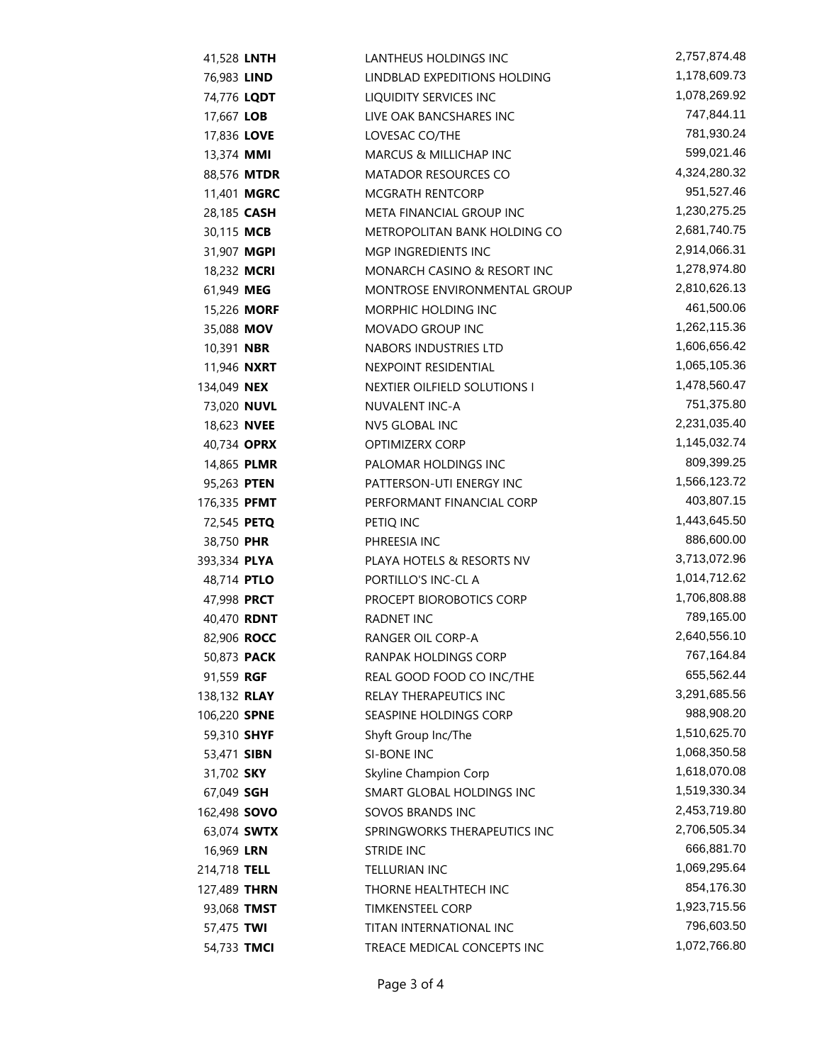| 41,528 LNTH         |                    | LANTHEUS HOLDINGS INC               | 2,757,874.48 |
|---------------------|--------------------|-------------------------------------|--------------|
| 76,983 LIND         |                    | LINDBLAD EXPEDITIONS HOLDING        | 1,178,609.73 |
| 74,776 LQDT         |                    | LIQUIDITY SERVICES INC              | 1,078,269.92 |
| 17,667 LOB          |                    | LIVE OAK BANCSHARES INC             | 747,844.11   |
| 17,836 LOVE         |                    | LOVESAC CO/THE                      | 781,930.24   |
| 13,374 MMI          |                    | MARCUS & MILLICHAP INC              | 599,021.46   |
|                     | 88,576 MTDR        | <b>MATADOR RESOURCES CO</b>         | 4,324,280.32 |
|                     | 11,401 MGRC        | <b>MCGRATH RENTCORP</b>             | 951,527.46   |
| 28,185 CASH         |                    | META FINANCIAL GROUP INC            | 1,230,275.25 |
| 30,115 MCB          |                    | <b>METROPOLITAN BANK HOLDING CO</b> | 2,681,740.75 |
| 31,907 MGPI         |                    | MGP INGREDIENTS INC                 | 2,914,066.31 |
| 18,232 MCRI         |                    | MONARCH CASINO & RESORT INC         | 1,278,974.80 |
| 61,949 MEG          |                    | MONTROSE ENVIRONMENTAL GROUP        | 2,810,626.13 |
|                     | 15,226 MORF        | MORPHIC HOLDING INC                 | 461,500.06   |
| 35,088 MOV          |                    | MOVADO GROUP INC                    | 1,262,115.36 |
| 10,391 <b>NBR</b>   |                    | NABORS INDUSTRIES LTD               | 1,606,656.42 |
| 11,946 <b>NXRT</b>  |                    | NEXPOINT RESIDENTIAL                | 1,065,105.36 |
| 134,049 NEX         |                    | NEXTIER OILFIELD SOLUTIONS I        | 1,478,560.47 |
| 73,020 NUVL         |                    | NUVALENT INC-A                      | 751,375.80   |
| 18,623 NVEE         |                    | <b>NV5 GLOBAL INC</b>               | 2,231,035.40 |
| 40,734 OPRX         |                    | <b>OPTIMIZERX CORP</b>              | 1,145,032.74 |
| 14,865 PLMR         |                    | PALOMAR HOLDINGS INC                | 809,399.25   |
| 95,263 PTEN         |                    | PATTERSON-UTI ENERGY INC            | 1,566,123.72 |
| 176,335 PFMT        |                    | PERFORMANT FINANCIAL CORP           | 403,807.15   |
| 72,545 PETQ         |                    | PETIQ INC                           | 1,443,645.50 |
| 38,750 PHR          |                    | PHREESIA INC                        | 886,600.00   |
| 393,334 PLYA        |                    | PLAYA HOTELS & RESORTS NV           | 3,713,072.96 |
| 48,714 PTLO         |                    | PORTILLO'S INC-CL A                 | 1,014,712.62 |
| 47,998 PRCT         |                    | PROCEPT BIOROBOTICS CORP            | 1,706,808.88 |
| 40,470 RDNT         |                    | <b>RADNET INC</b>                   | 789,165.00   |
| 82,906 ROCC         |                    | RANGER OIL CORP-A                   | 2,640,556.10 |
| 50,873 <b>PACK</b>  |                    | RANPAK HOLDINGS CORP                | 767,164.84   |
| 91,559 RGF          |                    | REAL GOOD FOOD CO INC/THE           | 655,562.44   |
| 138,132 <b>RLAY</b> |                    | <b>RELAY THERAPEUTICS INC</b>       | 3,291,685.56 |
| 106,220 SPNE        |                    | SEASPINE HOLDINGS CORP              | 988,908.20   |
| 59,310 SHYF         |                    | Shyft Group Inc/The                 | 1,510,625.70 |
| 53,471 SIBN         |                    | SI-BONE INC                         | 1,068,350.58 |
| 31,702 SKY          |                    | Skyline Champion Corp               | 1,618,070.08 |
| 67,049 SGH          |                    | SMART GLOBAL HOLDINGS INC           | 1,519,330.34 |
| 162,498 <b>SOVO</b> |                    | SOVOS BRANDS INC                    | 2,453,719.80 |
|                     | 63,074 <b>SWTX</b> | SPRINGWORKS THERAPEUTICS INC        | 2,706,505.34 |
| 16,969 LRN          |                    | <b>STRIDE INC</b>                   | 666,881.70   |
| 214,718 TELL        |                    | <b>TELLURIAN INC</b>                | 1,069,295.64 |
| 127,489 THRN        |                    | THORNE HEALTHTECH INC               | 854,176.30   |
| 93,068 TMST         |                    | <b>TIMKENSTEEL CORP</b>             | 1,923,715.56 |
| 57,475 TWI          |                    | TITAN INTERNATIONAL INC             | 796,603.50   |
| 54,733 TMCI         |                    | TREACE MEDICAL CONCEPTS INC         | 1,072,766.80 |